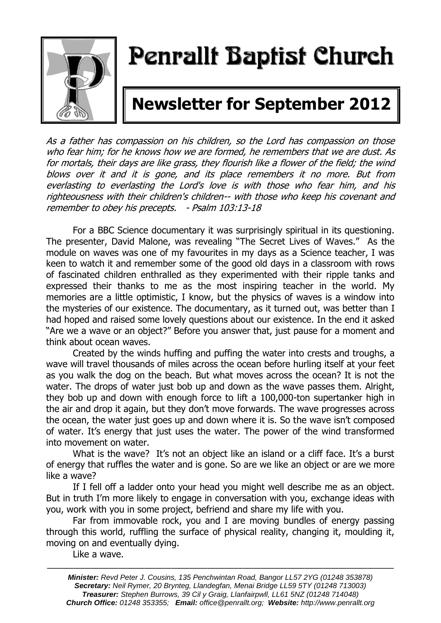

# Penrallt Baptist Church

## **Newsletter for September 2012**

As a father has compassion on his children, so the Lord has compassion on those who fear him; for he knows how we are formed, he remembers that we are dust. As for mortals, their days are like grass, they flourish like a flower of the field; the wind blows over it and it is gone, and its place remembers it no more. But from everlasting to everlasting the Lord's love is with those who fear him, and his righteousness with their children's children-- with those who keep his covenant and remember to obey his precepts. - Psalm 103:13-18

For a BBC Science documentary it was surprisingly spiritual in its questioning. The presenter, David Malone, was revealing "The Secret Lives of Waves." As the module on waves was one of my favourites in my days as a Science teacher, I was keen to watch it and remember some of the good old days in a classroom with rows of fascinated children enthralled as they experimented with their ripple tanks and expressed their thanks to me as the most inspiring teacher in the world. My memories are a little optimistic, I know, but the physics of waves is a window into the mysteries of our existence. The documentary, as it turned out, was better than I had hoped and raised some lovely questions about our existence. In the end it asked "Are we a wave or an object?" Before you answer that, just pause for a moment and think about ocean waves.

Created by the winds huffing and puffing the water into crests and troughs, a wave will travel thousands of miles across the ocean before hurling itself at your feet as you walk the dog on the beach. But what moves across the ocean? It is not the water. The drops of water just bob up and down as the wave passes them. Alright, they bob up and down with enough force to lift a 100,000-ton supertanker high in the air and drop it again, but they don't move forwards. The wave progresses across the ocean, the water just goes up and down where it is. So the wave isn't composed of water. It's energy that just uses the water. The power of the wind transformed into movement on water.

What is the wave? It's not an object like an island or a cliff face. It's a burst of energy that ruffles the water and is gone. So are we like an object or are we more like a wave?

If I fell off a ladder onto your head you might well describe me as an object. But in truth I'm more likely to engage in conversation with you, exchange ideas with you, work with you in some project, befriend and share my life with you.

Far from immovable rock, you and I are moving bundles of energy passing through this world, ruffling the surface of physical reality, changing it, moulding it, moving on and eventually dying.

Like a wave.

———————————————————————————————————————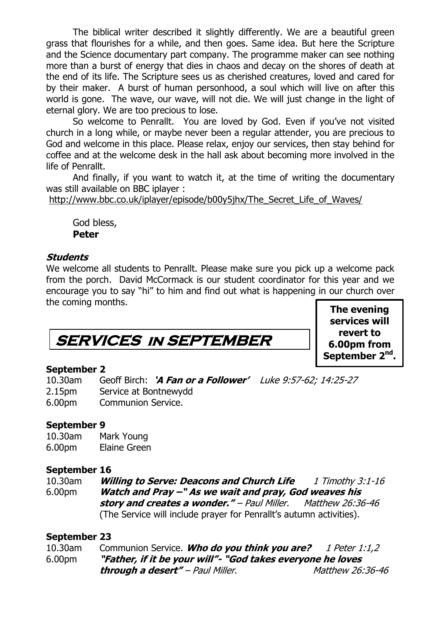The biblical writer described it slightly differently. We are a beautiful green grass that flourishes for a while, and then goes. Same idea. But here the Scripture and the Science documentary part company. The programme maker can see nothing more than a burst of energy that dies in chaos and decay on the shores of death at the end of its life. The Scripture sees us as cherished creatures, loved and cared for by their maker. A burst of human personhood, a soul which will live on after this world is gone. The wave, our wave, will not die. We will just change in the light of eternal glory. We are too precious to lose.

So welcome to Penrallt. You are loved by God. Even if you've not visited church in a long while, or maybe never been a regular attender, you are precious to God and welcome in this place. Please relax, enjoy our services, then stay behind for coffee and at the welcome desk in the hall ask about becoming more involved in the life of Penrallt.

And finally, if you want to watch it, at the time of writing the documentary was still available on BBC iplayer :

[http://www.bbc.co.uk/iplayer/episode/b00y5jhx/The\\_Secret\\_Life\\_of\\_Waves/](http://www.bbc.co.uk/iplayer/episode/b00y5jhx/The_Secret_Life_of_Waves/)

God bless, **Peter**

### **Students**

We welcome all students to Penrallt. Please make sure you pick up a welcome pack from the porch. David McCormack is our student coordinator for this year and we encourage you to say "hi" to him and find out what is happening in our church over the coming months.

### **SERVICES in SEPTEMBER**

**The evening services will revert to 6.00pm from September 2nd .**

### **September 2**

10.30am Geoff Birch: **'A Fan or a Follower'** Luke 9:57-62; 14:25-27 2.15pm Service at Bontnewydd 6.00pm Communion Service.

### **September 9**

10.30am Mark Young 6.00pm Elaine Green

### **September 16**

10.30am **Willing to Serve: Deacons and Church Life** 1 Timothy 3:1-16 6.00pm **Watch and Pray –" As we wait and pray, God weaves his story and creates a wonder."** – Paul Miller. Matthew 26:36-46 (The Service will include prayer for Penrallt's autumn activities).

### **September 23**

| 10.30am            | Communion Service. Who do you think you are?                | <i>1 Peter 1:1,2</i>    |
|--------------------|-------------------------------------------------------------|-------------------------|
| 6.00 <sub>pm</sub> | "Father, if it be your will"- "God takes everyone he loves" |                         |
|                    | <b>through a desert"</b> – Paul Miller.                     | <i>Matthew 26:36-46</i> |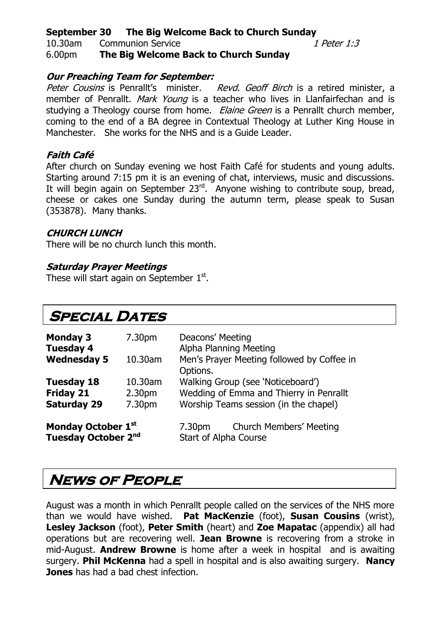### **September 30 The Big Welcome Back to Church Sunday**

10.30am Communion Service 1 1 Peter 1:3

### 6.00pm **The Big Welcome Back to Church Sunday**

### **Our Preaching Team for September:**

Peter Cousins is Penrallt's minister. Revd. Geoff Birch is a retired minister, a member of Penrallt. Mark Young is a teacher who lives in Llanfairfechan and is studying a Theology course from home. *Elaine Green* is a Penrallt church member, coming to the end of a BA degree in Contextual Theology at Luther King House in Manchester. She works for the NHS and is a Guide Leader.

### **Faith Café**

After church on Sunday evening we host Faith Café for students and young adults. Starting around 7:15 pm it is an evening of chat, interviews, music and discussions. It will begin again on September  $23^{rd}$ . Anyone wishing to contribute soup, bread, cheese or cakes one Sunday during the autumn term, please speak to Susan (353878). Many thanks.

### **CHURCH LUNCH**

There will be no church lunch this month.

### **Saturday Prayer Meetings**

These will start again on September  $1<sup>st</sup>$ .

### **Special Dates**

| <b>Monday 3</b><br><b>Tuesday 4</b> | 7.30pm             | Deacons' Meeting<br>Alpha Planning Meeting             |  |
|-------------------------------------|--------------------|--------------------------------------------------------|--|
| <b>Wednesday 5</b>                  | 10.30am            | Men's Prayer Meeting followed by Coffee in<br>Options. |  |
| <b>Tuesday 18</b>                   | 10.30am            | Walking Group (see 'Noticeboard')                      |  |
| <b>Friday 21</b>                    | 2.30 <sub>pm</sub> | Wedding of Emma and Thierry in Penrallt                |  |
| <b>Saturday 29</b>                  | 7.30pm             | Worship Teams session (in the chapel)                  |  |
| Monday October 1st                  |                    | <b>Church Members' Meeting</b><br>7.30 <sub>pm</sub>   |  |
| Tuesday October 2nd                 |                    | <b>Start of Alpha Course</b>                           |  |

### **News of People**

August was a month in which Penrallt people called on the services of the NHS more than we would have wished. **Pat MacKenzie** (foot), **Susan Cousins** (wrist), **Lesley Jackson** (foot), **Peter Smith** (heart) and **Zoe Mapatac** (appendix) all had operations but are recovering well. **Jean Browne** is recovering from a stroke in mid-August. **Andrew Browne** is home after a week in hospital and is awaiting surgery. **Phil McKenna** had a spell in hospital and is also awaiting surgery. **Nancy Jones** has had a bad chest infection.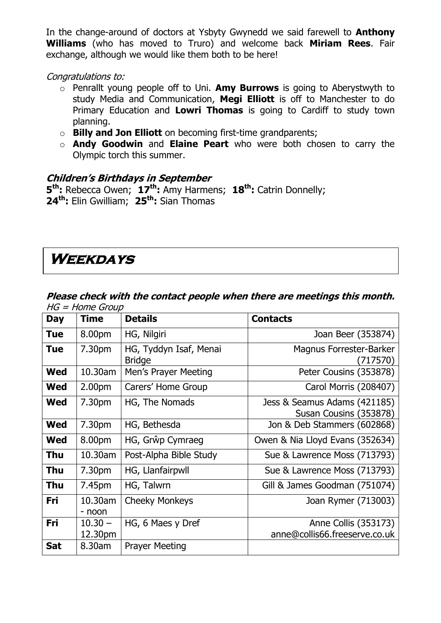In the change-around of doctors at Ysbyty Gwynedd we said farewell to **Anthony Williams** (who has moved to Truro) and welcome back **Miriam Rees**. Fair exchange, although we would like them both to be here!

Congratulations to:

- o Penrallt young people off to Uni. **Amy Burrows** is going to Aberystwyth to study Media and Communication, **Megi Elliott** is off to Manchester to do Primary Education and **Lowri Thomas** is going to Cardiff to study town planning.
- o **Billy and Jon Elliott** on becoming first-time grandparents;
- o **Andy Goodwin** and **Elaine Peart** who were both chosen to carry the Olympic torch this summer.

### **Children's Birthdays in September**

**5 th:** Rebecca Owen; **17th:** Amy Harmens; **18th:** Catrin Donnelly; **24th:** Elin Gwilliam; **25th:** Sian Thomas

### **Weekdays**

### **Please check with the contact people when there are meetings this month.**   $HG = Home$  Group

| <b>Day</b> | <b>Time</b>          | <b>Details</b>                          | <b>Contacts</b>                                        |
|------------|----------------------|-----------------------------------------|--------------------------------------------------------|
| <b>Tue</b> | 8.00pm               | HG, Nilgiri                             | Joan Beer (353874)                                     |
| Tue        | 7.30 <sub>pm</sub>   | HG, Tyddyn Isaf, Menai<br><b>Bridge</b> | Magnus Forrester-Barker<br>717570)                     |
| Wed        | 10.30am              | Men's Prayer Meeting                    | Peter Cousins (353878)                                 |
| Wed        | 2.00 <sub>pm</sub>   | Carers' Home Group                      | Carol Morris (208407)                                  |
| Wed        | 7.30pm               | HG, The Nomads                          | Jess & Seamus Adams (421185)<br>Susan Cousins (353878) |
| <b>Wed</b> | 7.30pm               | HG, Bethesda                            | Jon & Deb Stammers (602868)                            |
| <b>Wed</b> | 8.00pm               | HG, Grŵp Cymraeg                        | Owen & Nia Lloyd Evans (352634)                        |
| Thu        | 10.30am              | Post-Alpha Bible Study                  | Sue & Lawrence Moss (713793)                           |
| Thu        | 7.30pm               | HG, Llanfairpwll                        | Sue & Lawrence Moss (713793)                           |
| Thu        | 7.45pm               | HG, Talwrn                              | Gill & James Goodman (751074)                          |
| Fri        | 10.30am<br>- noon    | <b>Cheeky Monkeys</b>                   | Joan Rymer (713003)                                    |
| Fri        | $10.30 -$<br>12.30pm | HG, 6 Maes y Dref                       | Anne Collis (353173)<br>anne@collis66.freeserve.co.uk  |
| <b>Sat</b> | 8.30am               | <b>Prayer Meeting</b>                   |                                                        |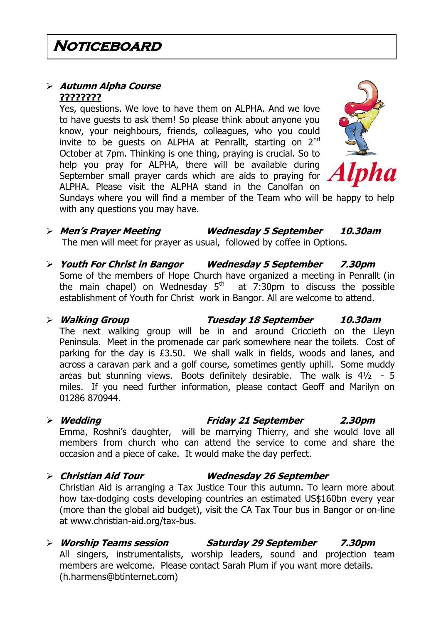### **Autumn Alpha Course ????????**

Yes, questions. We love to have them on ALPHA. And we love to have guests to ask them! So please think about anyone you know, your neighbours, friends, colleagues, who you could invite to be quests on ALPHA at Penrallt, starting on 2<sup>nd</sup> October at 7pm. Thinking is one thing, praying is crucial. So to help you pray for ALPHA, there will be available during September small prayer cards which are aids to praying for ALPHA. Please visit the ALPHA stand in the Canolfan on



Sundays where you will find a member of the Team who will be happy to help with any questions you may have.

- **Men's Prayer Meeting Wednesday 5 September 10.30am** The men will meet for prayer as usual, followed by coffee in Options.
- **Youth For Christ in Bangor Wednesday 5 September 7.30pm** Some of the members of Hope Church have organized a meeting in Penrallt (in the main chapel) on Wednesday  $5<sup>th</sup>$  at 7:30pm to discuss the possible establishment of Youth for Christ work in Bangor. All are welcome to attend.
- **Walking Group Tuesday 18 September 10.30am** The next walking group will be in and around Criccieth on the Lleyn Peninsula. Meet in the promenade car park somewhere near the toilets. Cost of parking for the day is £3.50. We shall walk in fields, woods and lanes, and across a caravan park and a golf course, sometimes gently uphill. Some muddy areas but stunning views. Boots definitely desirable. The walk is  $4\frac{1}{2}$  - 5 miles. If you need further information, please contact Geoff and Marilyn on 01286 870944.
- **Wedding Friday 21 September 2.30pm** Emma, Roshni's daughter, will be marrying Thierry, and she would love all members from church who can attend the service to come and share the occasion and a piece of cake. It would make the day perfect.
- **Christian Aid Tour Wednesday 26 September**

Christian Aid is arranging a Tax Justice Tour this autumn. To learn more about how tax-dodging costs developing countries an estimated US\$160bn every year (more than the global aid budget), visit the CA Tax Tour bus in Bangor or on-line at www.christian-aid.org/tax-bus.

 **Worship Teams session Saturday 29 September 7.30pm** All singers, instrumentalists, worship leaders, sound and projection team members are welcome. Please contact Sarah Plum if you want more details. (h.harmens@btinternet.com)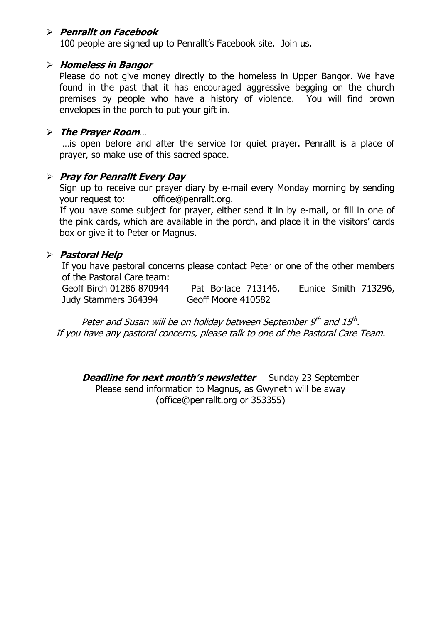### **Penrallt on Facebook**

100 people are signed up to Penrallt's Facebook site. Join us.

#### **Homeless in Bangor**

Please do not give money directly to the homeless in Upper Bangor. We have found in the past that it has encouraged aggressive begging on the church premises by people who have a history of violence. You will find brown envelopes in the porch to put your gift in.

#### **The Prayer Room**…

…is open before and after the service for quiet prayer. Penrallt is a place of prayer, so make use of this sacred space.

### **Pray for Penrallt Every Day**

Sign up to receive our prayer diary by e-mail every Monday morning by sending your request to: [office@penrallt.org.](mailto:office@penrallt.org)

If you have some subject for prayer, either send it in by e-mail, or fill in one of the pink cards, which are available in the porch, and place it in the visitors' cards box or give it to Peter or Magnus.

### **Pastoral Help**

If you have pastoral concerns please contact Peter or one of the other members of the Pastoral Care team:

Geoff Birch 01286 870944 Pat Borlace 713146, Eunice Smith 713296, Judy Stammers 364394 Geoff Moore 410582

Peter and Susan will be on holiday between September 9th and 15th. If you have any pastoral concerns, please talk to one of the Pastoral Care Team.

**Deadline for next month's newsletter** Sunday 23 September Please send information to Magnus, as Gwyneth will be away [\(office@penrallt.org](mailto:office@penrallt.org) or 353355)